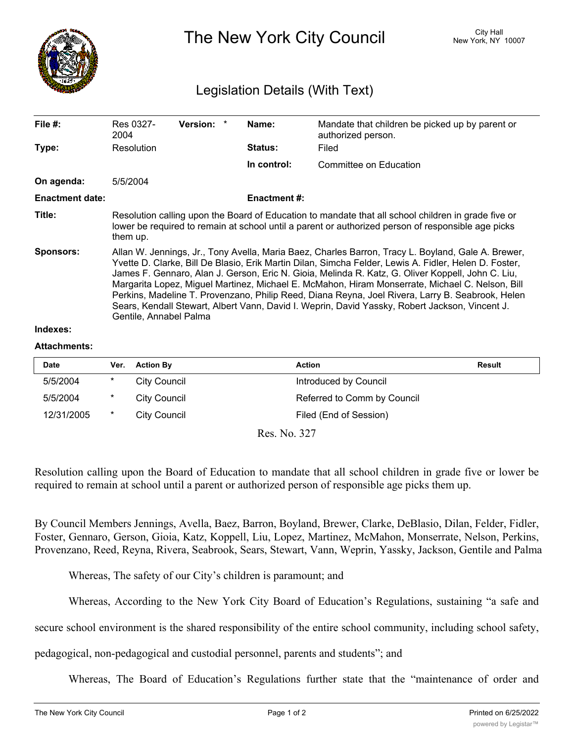

The New York City Council New York, NY 10007

## Legislation Details (With Text)

| File $#$ :             | Res 0327-<br>2004                                                                                                                                                                                                                                                                                                                                                                                                                                                                                                                                                                                                                                   | <b>Version:</b> |  | Name:               | Mandate that children be picked up by parent or<br>authorized person. |  |  |
|------------------------|-----------------------------------------------------------------------------------------------------------------------------------------------------------------------------------------------------------------------------------------------------------------------------------------------------------------------------------------------------------------------------------------------------------------------------------------------------------------------------------------------------------------------------------------------------------------------------------------------------------------------------------------------------|-----------------|--|---------------------|-----------------------------------------------------------------------|--|--|
| Type:                  | Resolution                                                                                                                                                                                                                                                                                                                                                                                                                                                                                                                                                                                                                                          |                 |  | <b>Status:</b>      | Filed                                                                 |  |  |
|                        |                                                                                                                                                                                                                                                                                                                                                                                                                                                                                                                                                                                                                                                     |                 |  | In control:         | Committee on Education                                                |  |  |
| On agenda:             | 5/5/2004                                                                                                                                                                                                                                                                                                                                                                                                                                                                                                                                                                                                                                            |                 |  |                     |                                                                       |  |  |
| <b>Enactment date:</b> |                                                                                                                                                                                                                                                                                                                                                                                                                                                                                                                                                                                                                                                     |                 |  | <b>Enactment #:</b> |                                                                       |  |  |
| Title:                 | Resolution calling upon the Board of Education to mandate that all school children in grade five or<br>lower be required to remain at school until a parent or authorized person of responsible age picks<br>them up.                                                                                                                                                                                                                                                                                                                                                                                                                               |                 |  |                     |                                                                       |  |  |
| Sponsors:              | Allan W. Jennings, Jr., Tony Avella, Maria Baez, Charles Barron, Tracy L. Boyland, Gale A. Brewer,<br>Yvette D. Clarke, Bill De Blasio, Erik Martin Dilan, Simcha Felder, Lewis A. Fidler, Helen D. Foster,<br>James F. Gennaro, Alan J. Gerson, Eric N. Gioia, Melinda R. Katz, G. Oliver Koppell, John C. Liu,<br>Margarita Lopez, Miguel Martinez, Michael E. McMahon, Hiram Monserrate, Michael C. Nelson, Bill<br>Perkins, Madeline T. Provenzano, Philip Reed, Diana Reyna, Joel Rivera, Larry B. Seabrook, Helen<br>Sears, Kendall Stewart, Albert Vann, David I. Weprin, David Yassky, Robert Jackson, Vincent J.<br>Gentile, Annabel Palma |                 |  |                     |                                                                       |  |  |
| Indexes:               |                                                                                                                                                                                                                                                                                                                                                                                                                                                                                                                                                                                                                                                     |                 |  |                     |                                                                       |  |  |

## **Attachments:**

| <b>Date</b>   | Ver.   | <b>Action By</b>    | <b>Action</b>               | <b>Result</b> |  |  |  |  |
|---------------|--------|---------------------|-----------------------------|---------------|--|--|--|--|
| 5/5/2004      | $\ast$ | City Council        | Introduced by Council       |               |  |  |  |  |
| 5/5/2004      | $\ast$ | City Council        | Referred to Comm by Council |               |  |  |  |  |
| 12/31/2005    | $\ast$ | <b>City Council</b> | Filed (End of Session)      |               |  |  |  |  |
| $D = M - 227$ |        |                     |                             |               |  |  |  |  |

Res. No. 327

Resolution calling upon the Board of Education to mandate that all school children in grade five or lower be required to remain at school until a parent or authorized person of responsible age picks them up.

By Council Members Jennings, Avella, Baez, Barron, Boyland, Brewer, Clarke, DeBlasio, Dilan, Felder, Fidler, Foster, Gennaro, Gerson, Gioia, Katz, Koppell, Liu, Lopez, Martinez, McMahon, Monserrate, Nelson, Perkins, Provenzano, Reed, Reyna, Rivera, Seabrook, Sears, Stewart, Vann, Weprin, Yassky, Jackson, Gentile and Palma

Whereas, The safety of our City's children is paramount; and

Whereas, According to the New York City Board of Education's Regulations, sustaining "a safe and

secure school environment is the shared responsibility of the entire school community, including school safety,

pedagogical, non-pedagogical and custodial personnel, parents and students"; and

Whereas, The Board of Education's Regulations further state that the "maintenance of order and